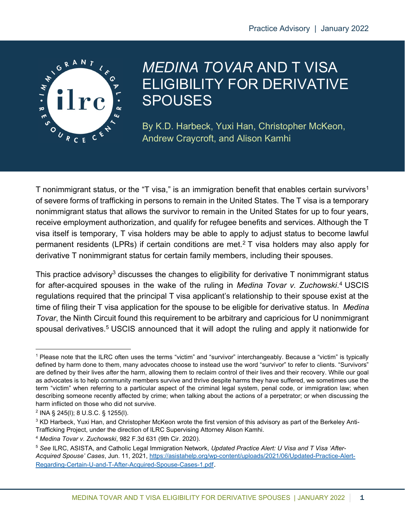

# MEDINA TOVAR AND T VISA ELIGIBILITY FOR DERIVATIVE **SPOUSES**

By K.D. Harbeck, Yuxi Han, Christopher McKeon, Andrew Craycroft, and Alison Kamhi

T nonimmigrant status, or the "T visa," is an immigration benefit that enables certain survivors<sup>1</sup> of severe forms of trafficking in persons to remain in the United States. The T visa is a temporary nonimmigrant status that allows the survivor to remain in the United States for up to four years, receive employment authorization, and qualify for refugee benefits and services. Although the T visa itself is temporary, T visa holders may be able to apply to adjust status to become lawful permanent residents (LPRs) if certain conditions are met.<sup>2</sup> T visa holders may also apply for derivative T nonimmigrant status for certain family members, including their spouses.

This practice advisory<sup>3</sup> discusses the changes to eligibility for derivative T nonimmigrant status for after-acquired spouses in the wake of the ruling in Medina Tovar v. Zuchowski.<sup>4</sup> USCIS regulations required that the principal T visa applicant's relationship to their spouse exist at the time of filing their T visa application for the spouse to be eligible for derivative status. In Medina Tovar, the Ninth Circuit found this requirement to be arbitrary and capricious for U nonimmigrant spousal derivatives.<sup>5</sup> USCIS announced that it will adopt the ruling and apply it nationwide for

<sup>&</sup>lt;sup>1</sup> Please note that the ILRC often uses the terms "victim" and "survivor" interchangeably. Because a "victim" is typically defined by harm done to them, many advocates choose to instead use the word "survivor" to refer to clients. "Survivors" are defined by their lives after the harm, allowing them to reclaim control of their lives and their recovery. While our goal as advocates is to help community members survive and thrive despite harms they have suffered, we sometimes use the term "victim" when referring to a particular aspect of the criminal legal system, penal code, or immigration law; when describing someone recently affected by crime; when talking about the actions of a perpetrator; or when discussing the harm inflicted on those who did not survive.

<sup>2</sup> INA § 245(l); 8 U.S.C. § 1255(l).

 $3$  KD Harbeck, Yuxi Han, and Christopher McKeon wrote the first version of this advisory as part of the Berkeley Anti-Trafficking Project, under the direction of ILRC Supervising Attorney Alison Kamhi.

<sup>4</sup> Medina Tovar v. Zuchowski, 982 F.3d 631 (9th Cir. 2020).

<sup>&</sup>lt;sup>5</sup> See ILRC, ASISTA, and Catholic Legal Immigration Network, Updated Practice Alert: U Visa and T Visa 'After-Acquired Spouse' Cases, Jun. 11, 2021, https://asistahelp.org/wp-content/uploads/2021/06/Updated-Practice-Alert-Regarding-Certain-U-and-T-After-Acquired-Spouse-Cases-1.pdf.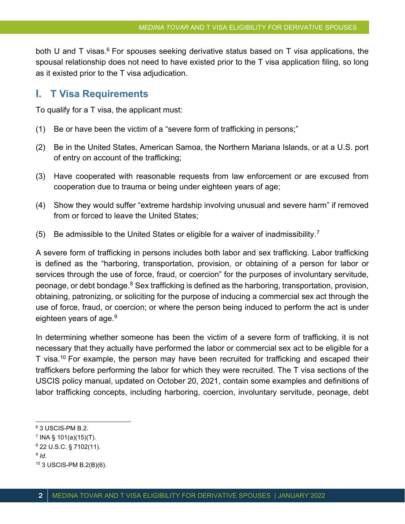both U and T visas.<sup>6</sup> For spouses seeking derivative status based on T visa applications, the spousal relationship does not need to have existed prior to the T visa application filing, so long as it existed prior to the T visa adjudication.

### I. T Visa Requirements

To qualify for a T visa, the applicant must:

- (1) Be or have been the victim of a "severe form of trafficking in persons;"
- (2) Be in the United States, American Samoa, the Northern Mariana Islands, or at a U.S. port of entry on account of the trafficking;
- (3) Have cooperated with reasonable requests from law enforcement or are excused from cooperation due to trauma or being under eighteen years of age;
- (4) Show they would suffer "extreme hardship involving unusual and severe harm" if removed from or forced to leave the United States;
- (5) Be admissible to the United States or eligible for a waiver of inadmissibility.<sup>7</sup>

A severe form of trafficking in persons includes both labor and sex trafficking. Labor trafficking is defined as the "harboring, transportation, provision, or obtaining of a person for labor or services through the use of force, fraud, or coercion" for the purposes of involuntary servitude, peonage, or debt bondage.<sup>8</sup> Sex trafficking is defined as the harboring, transportation, provision, obtaining, patronizing, or soliciting for the purpose of inducing a commercial sex act through the use of force, fraud, or coercion; or where the person being induced to perform the act is under eighteen years of age.<sup>9</sup>

In determining whether someone has been the victim of a severe form of trafficking, it is not necessary that they actually have performed the labor or commercial sex act to be eligible for a T visa.<sup>10</sup> For example, the person may have been recruited for trafficking and escaped their traffickers before performing the labor for which they were recruited. The T visa sections of the USCIS policy manual, updated on October 20, 2021, contain some examples and definitions of labor trafficking concepts, including harboring, coercion, involuntary servitude, peonage, debt

 $^6$  3 USCIS-PM B.2.

 $^7$  INA § 101(a)(15)(T).

<sup>8</sup> 22 U.S.C. § 7102(11).

 $^9$  Id.

<sup>10</sup> 3 USCIS-PM B.2(B)(6).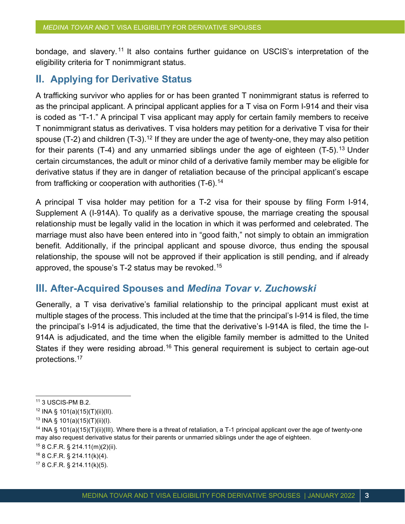bondage, and slavery.<sup>11</sup> It also contains further guidance on USCIS's interpretation of the eligibility criteria for T nonimmigrant status.

# II. Applying for Derivative Status

A trafficking survivor who applies for or has been granted T nonimmigrant status is referred to as the principal applicant. A principal applicant applies for a T visa on Form I-914 and their visa is coded as "T-1." A principal T visa applicant may apply for certain family members to receive T nonimmigrant status as derivatives. T visa holders may petition for a derivative T visa for their spouse (T-2) and children  $(T-3)$ .<sup>12</sup> If they are under the age of twenty-one, they may also petition for their parents (T-4) and any unmarried siblings under the age of eighteen (T-5).<sup>13</sup> Under certain circumstances, the adult or minor child of a derivative family member may be eligible for derivative status if they are in danger of retaliation because of the principal applicant's escape from trafficking or cooperation with authorities (T-6).<sup>14</sup>

A principal T visa holder may petition for a T-2 visa for their spouse by filing Form I-914, Supplement A (I-914A). To qualify as a derivative spouse, the marriage creating the spousal relationship must be legally valid in the location in which it was performed and celebrated. The marriage must also have been entered into in "good faith," not simply to obtain an immigration benefit. Additionally, if the principal applicant and spouse divorce, thus ending the spousal relationship, the spouse will not be approved if their application is still pending, and if already approved, the spouse's T-2 status may be revoked.<sup>15</sup>

# III. After-Acquired Spouses and Medina Tovar v. Zuchowski

Generally, a T visa derivative's familial relationship to the principal applicant must exist at multiple stages of the process. This included at the time that the principal's I-914 is filed, the time the principal's I-914 is adjudicated, the time that the derivative's I-914A is filed, the time the I-914A is adjudicated, and the time when the eligible family member is admitted to the United States if they were residing abroad.<sup>16</sup> This general requirement is subject to certain age-out protections.<sup>17</sup>

<sup>15</sup> 8 C.F.R. § 214.11(m)(2)(ii).

<sup>11</sup> 3 USCIS-PM B.2.

 $12$  INA § 101(a)(15)(T)(ii)(II).

<sup>13</sup> INA § 101(a)(15)(T)(ii)(I).

<sup>&</sup>lt;sup>14</sup> INA § 101(a)(15)(T)(ii)(III). Where there is a threat of retaliation, a T-1 principal applicant over the age of twenty-one may also request derivative status for their parents or unmarried siblings under the age of eighteen.

<sup>16</sup> 8 C.F.R. § 214.11(k)(4).

<sup>17</sup> 8 C.F.R. § 214.11(k)(5).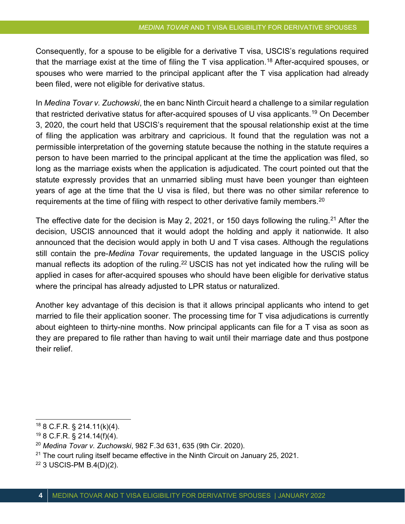Consequently, for a spouse to be eligible for a derivative T visa, USCIS's regulations required that the marriage exist at the time of filing the T visa application.<sup>18</sup> After-acquired spouses, or spouses who were married to the principal applicant after the T visa application had already been filed, were not eligible for derivative status.

In Medina Tovar v. Zuchowski, the en banc Ninth Circuit heard a challenge to a similar regulation that restricted derivative status for after-acquired spouses of U visa applicants.<sup>19</sup> On December 3, 2020, the court held that USCIS's requirement that the spousal relationship exist at the time of filing the application was arbitrary and capricious. It found that the regulation was not a permissible interpretation of the governing statute because the nothing in the statute requires a person to have been married to the principal applicant at the time the application was filed, so long as the marriage exists when the application is adjudicated. The court pointed out that the statute expressly provides that an unmarried sibling must have been younger than eighteen years of age at the time that the U visa is filed, but there was no other similar reference to requirements at the time of filing with respect to other derivative family members.<sup>20</sup>

The effective date for the decision is May 2, 2021, or 150 days following the ruling.<sup>21</sup> After the decision, USCIS announced that it would adopt the holding and apply it nationwide. It also announced that the decision would apply in both U and T visa cases. Although the regulations still contain the pre-*Medina Tovar* requirements, the updated language in the USCIS policy manual reflects its adoption of the ruling.<sup>22</sup> USCIS has not yet indicated how the ruling will be applied in cases for after-acquired spouses who should have been eligible for derivative status where the principal has already adjusted to LPR status or naturalized.

Another key advantage of this decision is that it allows principal applicants who intend to get married to file their application sooner. The processing time for T visa adjudications is currently about eighteen to thirty-nine months. Now principal applicants can file for a T visa as soon as they are prepared to file rather than having to wait until their marriage date and thus postpone their relief.

 $18$  8 C.F.R. § 214.11(k)(4).

<sup>19</sup> 8 C.F.R. § 214.14(f)(4).

 $20$  Medina Tovar v. Zuchowski, 982 F.3d 631, 635 (9th Cir. 2020).

 $21$  The court ruling itself became effective in the Ninth Circuit on January 25, 2021.

<sup>22</sup> 3 USCIS-PM B.4(D)(2).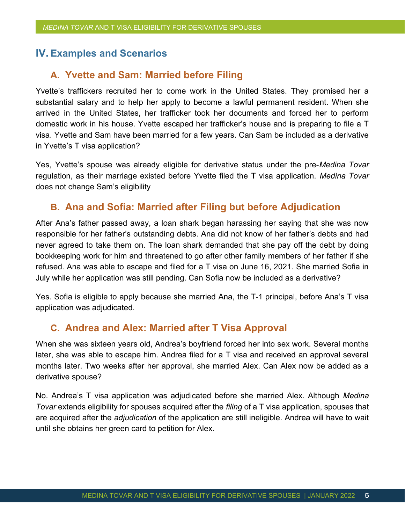# IV. Examples and Scenarios

#### A. Yvette and Sam: Married before Filing

Yvette's traffickers recruited her to come work in the United States. They promised her a substantial salary and to help her apply to become a lawful permanent resident. When she arrived in the United States, her trafficker took her documents and forced her to perform domestic work in his house. Yvette escaped her trafficker's house and is preparing to file a T visa. Yvette and Sam have been married for a few years. Can Sam be included as a derivative in Yvette's T visa application?

Yes, Yvette's spouse was already eligible for derivative status under the pre-Medina Tovar regulation, as their marriage existed before Yvette filed the T visa application. Medina Tovar does not change Sam's eligibility

#### B. Ana and Sofia: Married after Filing but before Adjudication

After Ana's father passed away, a loan shark began harassing her saying that she was now responsible for her father's outstanding debts. Ana did not know of her father's debts and had never agreed to take them on. The loan shark demanded that she pay off the debt by doing bookkeeping work for him and threatened to go after other family members of her father if she refused. Ana was able to escape and filed for a T visa on June 16, 2021. She married Sofia in July while her application was still pending. Can Sofia now be included as a derivative?

Yes. Sofia is eligible to apply because she married Ana, the T-1 principal, before Ana's T visa application was adjudicated.

#### C. Andrea and Alex: Married after T Visa Approval

When she was sixteen years old, Andrea's boyfriend forced her into sex work. Several months later, she was able to escape him. Andrea filed for a T visa and received an approval several months later. Two weeks after her approval, she married Alex. Can Alex now be added as a derivative spouse?

No. Andrea's T visa application was adjudicated before she married Alex. Although Medina Tovar extends eligibility for spouses acquired after the *filing* of a T visa application, spouses that are acquired after the *adjudication* of the application are still ineligible. Andrea will have to wait until she obtains her green card to petition for Alex.